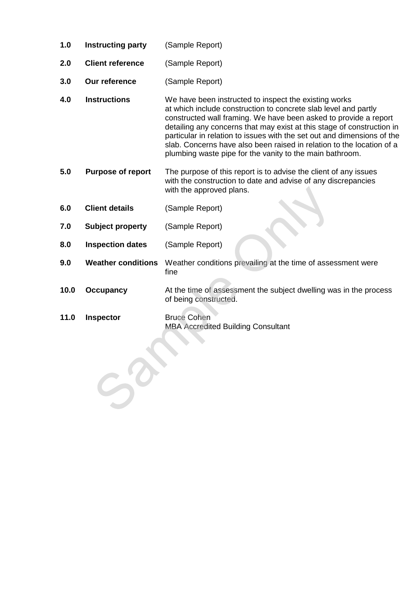- **1.0 Instructing party** (Sample Report)
- **2.0 Client reference** (Sample Report)
- **3.0 Our reference** (Sample Report)
- **4.0 Instructions** We have been instructed to inspect the existing works at which include construction to concrete slab level and partly constructed wall framing. We have been asked to provide a report detailing any concerns that may exist at this stage of construction in particular in relation to issues with the set out and dimensions of the slab. Concerns have also been raised in relation to the location of a plumbing waste pipe for the vanity to the main bathroom.
- **5.0 Purpose of report** The purpose of this report is to advise the client of any issues with the construction to date and advise of any discrepancies with the approved plans.
- **6.0 Client details** (Sample Report)
- **7.0 Subject property** (Sample Report)
- **8.0 Inspection dates** (Sample Report)
- **9.0 Weather conditions** Weather conditions prevailing at the time of assessment were fine
- **10.0 Occupancy** At the time of assessment the subject dwelling was in the process of being constructed.
- **11.0 Inspector** Bruce Cohen

MBA Accredited Building Consultant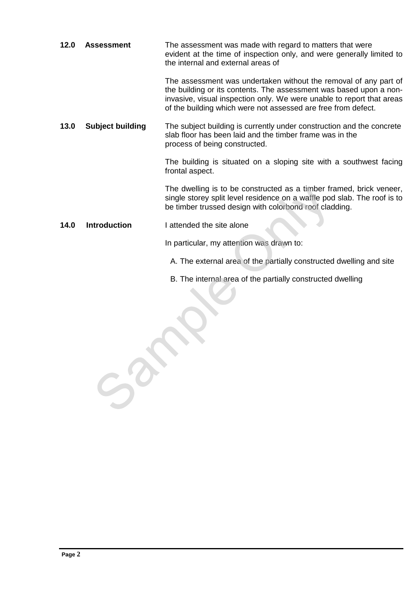| 12.0 | <b>Assessment</b>       | The assessment was made with regard to matters that were<br>evident at the time of inspection only, and were generally limited to<br>the internal and external areas of                                                                                                          |
|------|-------------------------|----------------------------------------------------------------------------------------------------------------------------------------------------------------------------------------------------------------------------------------------------------------------------------|
|      |                         | The assessment was undertaken without the removal of any part of<br>the building or its contents. The assessment was based upon a non-<br>invasive, visual inspection only. We were unable to report that areas<br>of the building which were not assessed are free from defect. |
| 13.0 | <b>Subject building</b> | The subject building is currently under construction and the concrete<br>slab floor has been laid and the timber frame was in the<br>process of being constructed.                                                                                                               |
|      |                         | The building is situated on a sloping site with a southwest facing<br>frontal aspect.                                                                                                                                                                                            |
|      |                         | The dwelling is to be constructed as a timber framed, brick veneer,<br>single storey split level residence on a waffle pod slab. The roof is to<br>be timber trussed design with colorbond roof cladding.                                                                        |
| 14.0 | <b>Introduction</b>     | I attended the site alone                                                                                                                                                                                                                                                        |
|      |                         | In particular, my attention was drawn to:                                                                                                                                                                                                                                        |
|      |                         | A. The external area of the partially constructed dwelling and site                                                                                                                                                                                                              |

B. The internal area of the partially constructed dwelling

Some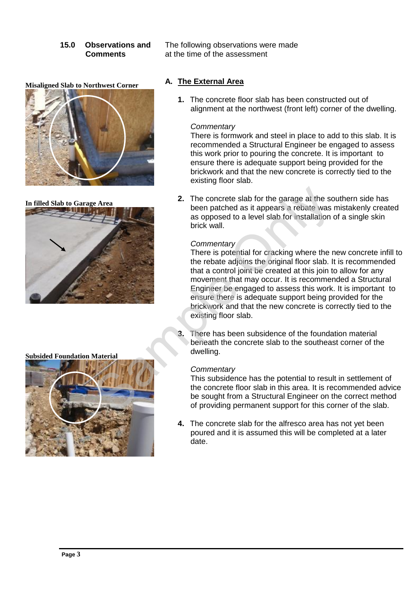**Misaligned Slab to Northwest Corner**



**In filled Slab to Garage Area**



**Subsided Foundation Material**



**15.0 Observations and** The following observations were made **Comments** at the time of the assessment

# **A. The External Area**

**1.** The concrete floor slab has been constructed out of alignment at the northwest (front left) corner of the dwelling.

#### *Commentary*

There is formwork and steel in place to add to this slab. It is recommended a Structural Engineer be engaged to assess this work prior to pouring the concrete. It is important to ensure there is adequate support being provided for the brickwork and that the new concrete is correctly tied to the existing floor slab.

**2.** The concrete slab for the garage at the southern side has been patched as it appears a rebate was mistakenly created as opposed to a level slab for installation of a single skin brick wall.

#### *Commentary*

There is potential for cracking where the new concrete infill to the rebate adjoins the original floor slab. It is recommended that a control joint be created at this join to allow for any movement that may occur. It is recommended a Structural Engineer be engaged to assess this work. It is important to ensure there is adequate support being provided for the brickwork and that the new concrete is correctly tied to the existing floor slab.

**3.** There has been subsidence of the foundation material beneath the concrete slab to the southeast corner of the dwelling.

# *Commentary*

This subsidence has the potential to result in settlement of the concrete floor slab in this area. It is recommended advice be sought from a Structural Engineer on the correct method of providing permanent support for this corner of the slab.

**4.** The concrete slab for the alfresco area has not yet been poured and it is assumed this will be completed at a later date.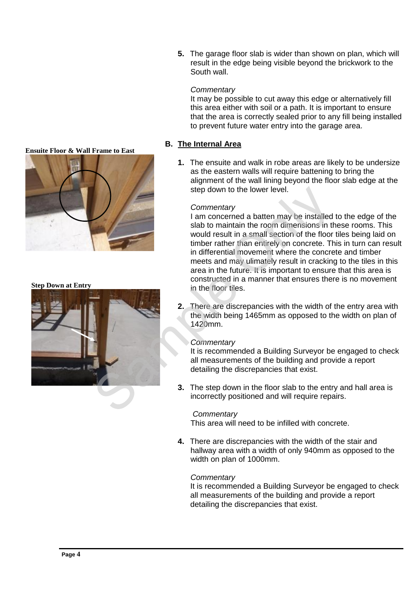**5.** The garage floor slab is wider than shown on plan, which will result in the edge being visible beyond the brickwork to the South wall.

# *Commentary*

It may be possible to cut away this edge or alternatively fill this area either with soil or a path. It is important to ensure that the area is correctly sealed prior to any fill being installed to prevent future water entry into the garage area.

# **B. The Internal Area**

**1.** The ensuite and walk in robe areas are likely to be undersize as the eastern walls will require battening to bring the alignment of the wall lining beyond the floor slab edge at the step down to the lower level.

#### *Commentary*

I am concerned a batten may be installed to the edge of the slab to maintain the room dimensions in these rooms. This would result in a small section of the floor tiles being laid on timber rather than entirely on concrete. This in turn can result in differential movement where the concrete and timber meets and may ulimately result in cracking to the tiles in this area in the future. It is important to ensure that this area is constructed in a manner that ensures there is no movement in the floor tiles.

**2.** There are discrepancies with the width of the entry area with the width being 1465mm as opposed to the width on plan of 1420mm.

# *Commentary*

It is recommended a Building Surveyor be engaged to check all measurements of the building and provide a report detailing the discrepancies that exist.

**3.** The step down in the floor slab to the entry and hall area is incorrectly positioned and will require repairs.

# *Commentary*

This area will need to be infilled with concrete.

**4.** There are discrepancies with the width of the stair and hallway area with a width of only 940mm as opposed to the width on plan of 1000mm.

# *Commentary*

It is recommended a Building Surveyor be engaged to check all measurements of the building and provide a report detailing the discrepancies that exist.

#### **Ensuite Floor & Wall Frame to East**



#### **Step Down at Entry**

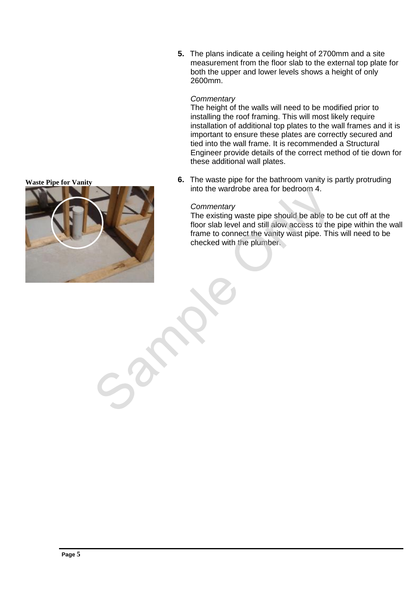**5.** The plans indicate a ceiling height of 2700mm and a site measurement from the floor slab to the external top plate for both the upper and lower levels shows a height of only 2600mm.

#### *Commentary*

The height of the walls will need to be modified prior to installing the roof framing. This will most likely require installation of additional top plates to the wall frames and it is important to ensure these plates are correctly secured and tied into the wall frame. It is recommended a Structural Engineer provide details of the correct method of tie down for these additional wall plates.

**6.** The waste pipe for the bathroom vanity is partly protruding into the wardrobe area for bedroom 4.

# *Commentary*

The existing waste pipe should be able to be cut off at the floor slab level and still alow access to the pipe within the wall frame to connect the vanity wast pipe. This will need to be checked with the plumber.